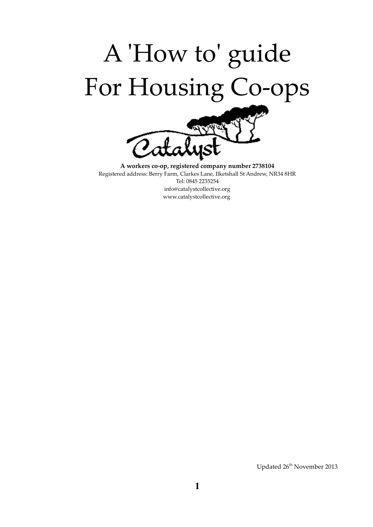

A workers co-op, registered company number 2738104 Registered address: Berry Farm, Clarkes Lane, Ilketshall St Andrew, NR34 8HR Tel: 0845 2235254 info@catalystcollective.org www.catalystcollective.org

Updated 26<sup>th</sup> November 2013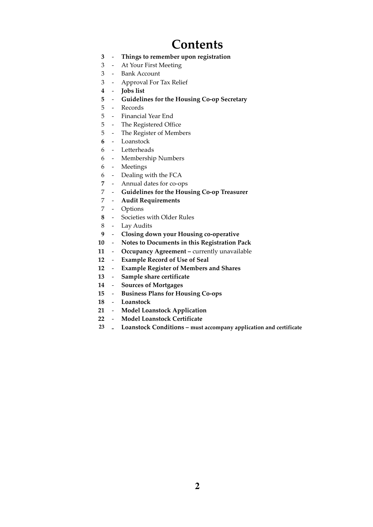### **Contents**

- 3 Things to remember upon registration
- 3 At Your First Meeting
- 3 Bank Account
- 3 Approval For Tax Relief
- 4 Jobs list
- 5 Guidelines for the Housing Co-op Secretary
- 5 Records
- 5 Financial Year End
- 5 The Registered Office
- 5 The Register of Members
- 6 Loanstock
- 6 Letterheads
- 6 Membership Numbers
- 6 Meetings
- 6 - Dealing with the FCA
- 7 - Annual dates for co-ops
- 7 Guidelines for the Housing Co-op Treasurer
- 7 Audit Requirements
- 7 Options
- 8 Societies with Older Rules
- 8 Lay Audits
- 9 Closing down your Housing co-operative
- 10 Notes to Documents in this Registration Pack
- 11 Occupancy Agreement currently unavailable
- 12 Example Record of Use of Seal
- 12 Example Register of Members and Shares
- 13 Sample share certificate
- 14 Sources of Mortgages
- 15 Business Plans for Housing Co-ops
- 18 Loanstock
- 21 Model Loanstock Application
- 22 Model Loanstock Certificate
- <sup>23</sup> Loanstock Conditions must accompany application and certificate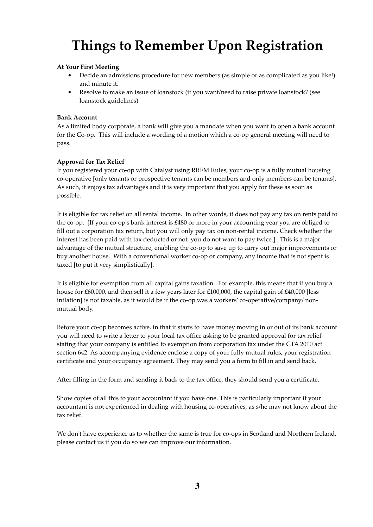# Things to Remember Upon Registration

### At Your First Meeting

- Decide an admissions procedure for new members (as simple or as complicated as you like!) and minute it.
- Resolve to make an issue of loanstock (if you want/need to raise private loanstock? (see loanstock guidelines)

### Bank Account

As a limited body corporate, a bank will give you a mandate when you want to open a bank account for the Co-op. This will include a wording of a motion which a co-op general meeting will need to pass.

### Approval for Tax Relief

If you registered your co-op with Catalyst using RRFM Rules, your co-op is a fully mutual housing co-operative [only tenants or prospective tenants can be members and only members can be tenants]. As such, it enjoys tax advantages and it is very important that you apply for these as soon as possible.

It is eligible for tax relief on all rental income. In other words, it does not pay any tax on rents paid to the co-op. [If your co-op's bank interest is £480 or more in your accounting year you are obliged to fill out a corporation tax return, but you will only pay tax on non-rental income. Check whether the interest has been paid with tax deducted or not, you do not want to pay twice.]. This is a major advantage of the mutual structure, enabling the co-op to save up to carry out major improvements or buy another house. With a conventional worker co-op or company, any income that is not spent is taxed [to put it very simplistically].

It is eligible for exemption from all capital gains taxation. For example, this means that if you buy a house for £60,000, and then sell it a few years later for £100,000, the capital gain of £40,000 [less inflation] is not taxable, as it would be if the co-op was a workers' co-operative/company/ nonmutual body.

Before your co-op becomes active, in that it starts to have money moving in or out of its bank account you will need to write a letter to your local tax office asking to be granted approval for tax relief stating that your company is entitled to exemption from corporation tax under the CTA 2010 act section 642. As accompanying evidence enclose a copy of your fully mutual rules, your registration certificate and your occupancy agreement. They may send you a form to fill in and send back.

After filling in the form and sending it back to the tax office, they should send you a certificate.

Show copies of all this to your accountant if you have one. This is particularly important if your accountant is not experienced in dealing with housing co-operatives, as s/he may not know about the tax relief.

We don't have experience as to whether the same is true for co-ops in Scotland and Northern Ireland, please contact us if you do so we can improve our information.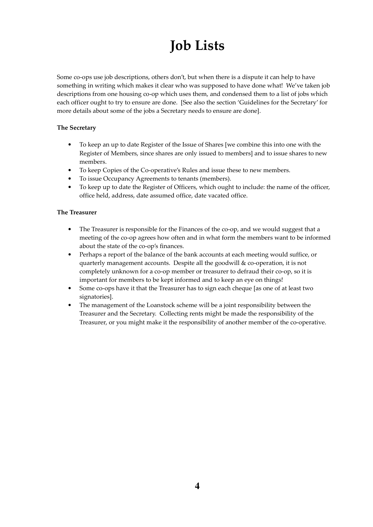# Job Lists

Some co-ops use job descriptions, others don't, but when there is a dispute it can help to have something in writing which makes it clear who was supposed to have done what! We've taken job descriptions from one housing co-op which uses them, and condensed them to a list of jobs which each officer ought to try to ensure are done. [See also the section 'Guidelines for the Secretary' for more details about some of the jobs a Secretary needs to ensure are done].

### The Secretary

- To keep an up to date Register of the Issue of Shares [we combine this into one with the Register of Members, since shares are only issued to members] and to issue shares to new members.
- To keep Copies of the Co-operative's Rules and issue these to new members.
- To issue Occupancy Agreements to tenants (members).
- To keep up to date the Register of Officers, which ought to include: the name of the officer, office held, address, date assumed office, date vacated office.

### The Treasurer

- The Treasurer is responsible for the Finances of the co-op, and we would suggest that a meeting of the co-op agrees how often and in what form the members want to be informed about the state of the co-op's finances.
- Perhaps a report of the balance of the bank accounts at each meeting would suffice, or quarterly management accounts. Despite all the goodwill & co-operation, it is not completely unknown for a co-op member or treasurer to defraud their co-op, so it is important for members to be kept informed and to keep an eye on things!
- Some co-ops have it that the Treasurer has to sign each cheque [as one of at least two signatories].
- The management of the Loanstock scheme will be a joint responsibility between the Treasurer and the Secretary. Collecting rents might be made the responsibility of the Treasurer, or you might make it the responsibility of another member of the co-operative.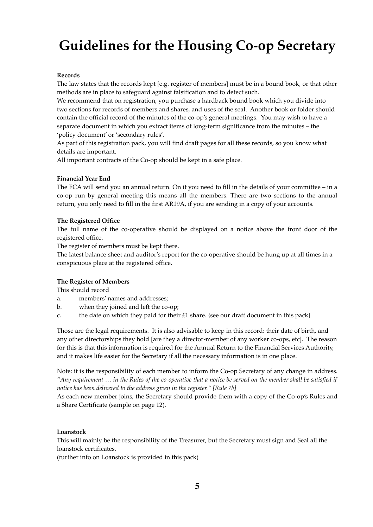# Guidelines for the Housing Co-op Secretary

### Records

The law states that the records kept [e.g. register of members] must be in a bound book, or that other methods are in place to safeguard against falsification and to detect such.

We recommend that on registration, you purchase a hardback bound book which you divide into two sections for records of members and shares, and uses of the seal. Another book or folder should contain the official record of the minutes of the co-op's general meetings. You may wish to have a separate document in which you extract items of long-term significance from the minutes – the 'policy document' or 'secondary rules'.

As part of this registration pack, you will find draft pages for all these records, so you know what details are important.

All important contracts of the Co-op should be kept in a safe place.

#### Financial Year End

The FCA will send you an annual return. On it you need to fill in the details of your committee – in a co-op run by general meeting this means all the members. There are two sections to the annual return, you only need to fill in the first AR19A, if you are sending in a copy of your accounts.

#### The Registered Office

The full name of the co-operative should be displayed on a notice above the front door of the registered office.

The register of members must be kept there.

The latest balance sheet and auditor's report for the co-operative should be hung up at all times in a conspicuous place at the registered office.

### The Register of Members

This should record

- a. members' names and addresses;
- b. when they joined and left the co-op;
- c. the date on which they paid for their  $£1$  share. {see our draft document in this pack}

Those are the legal requirements. It is also advisable to keep in this record: their date of birth, and any other directorships they hold [are they a director-member of any worker co-ops, etc]. The reason for this is that this information is required for the Annual Return to the Financial Services Authority, and it makes life easier for the Secretary if all the necessary information is in one place.

Note: it is the responsibility of each member to inform the Co-op Secretary of any change in address. "Any requirement … in the Rules of the co-operative that a notice be served on the member shall be satisfied if notice has been delivered to the address given in the register." [Rule 7b]

As each new member joins, the Secretary should provide them with a copy of the Co-op's Rules and a Share Certificate (sample on page 12).

#### Loanstock

This will mainly be the responsibility of the Treasurer, but the Secretary must sign and Seal all the loanstock certificates.

(further info on Loanstock is provided in this pack)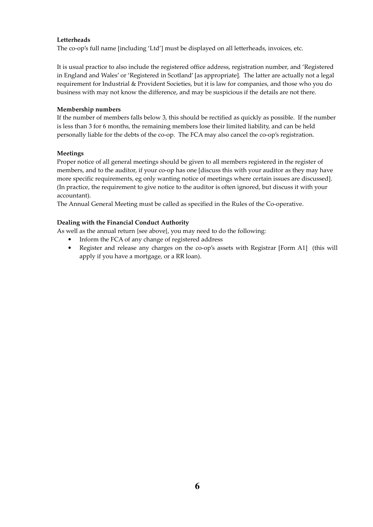### Letterheads

The co-op's full name [including 'Ltd'] must be displayed on all letterheads, invoices, etc.

It is usual practice to also include the registered office address, registration number, and 'Registered in England and Wales' or 'Registered in Scotland' [as appropriate]. The latter are actually not a legal requirement for Industrial & Provident Societies, but it is law for companies, and those who you do business with may not know the difference, and may be suspicious if the details are not there.

### Membership numbers

If the number of members falls below 3, this should be rectified as quickly as possible. If the number is less than 3 for 6 months, the remaining members lose their limited liability, and can be held personally liable for the debts of the co-op. The FCA may also cancel the co-op's registration.

### Meetings

Proper notice of all general meetings should be given to all members registered in the register of members, and to the auditor, if your co-op has one [discuss this with your auditor as they may have more specific requirements, eg only wanting notice of meetings where certain issues are discussed]. (In practice, the requirement to give notice to the auditor is often ignored, but discuss it with your accountant).

The Annual General Meeting must be called as specified in the Rules of the Co-operative.

### Dealing with the Financial Conduct Authority

As well as the annual return {see above}, you may need to do the following:

- Inform the FCA of any change of registered address
- Register and release any charges on the co-op's assets with Registrar [Form A1] (this will apply if you have a mortgage, or a RR loan).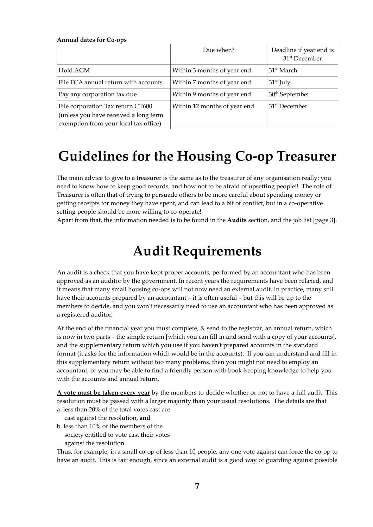| <b>Annual dates for Co-ops</b>                                                                                      |                              |                                                      |
|---------------------------------------------------------------------------------------------------------------------|------------------------------|------------------------------------------------------|
|                                                                                                                     | Due when?                    | Deadline if year end is<br>31 <sup>st</sup> December |
| Hold AGM                                                                                                            | Within 3 months of year end  | 31 <sup>st</sup> March                               |
| File FCA annual return with accounts                                                                                | Within 7 months of year end  | $31st$ July                                          |
| Pay any corporation tax due                                                                                         | Within 9 months of year end  | $30th$ September                                     |
| File corporation Tax return CT600<br>(unless you have received a long term<br>exemption from your local tax office) | Within 12 months of year end | 31 <sup>st</sup> December                            |

### Guidelines for the Housing Co-op Treasurer

The main advice to give to a treasurer is the same as to the treasurer of any organisation really: you need to know how to keep good records, and how not to be afraid of upsetting people!! The role of Treasurer is often that of trying to persuade others to be more careful about spending money or getting receipts for money they have spent, and can lead to a bit of conflict, but in a co-operative setting people should be more willing to co-operate!

Apart from that, the information needed is to be found in the **Audits** section, and the job list [page 3].

### Audit Requirements

An audit is a check that you have kept proper accounts, performed by an accountant who has been approved as an auditor by the government. In recent years the requirements have been relaxed, and it means that many small housing co-ops will not now need an external audit. In practice, many still have their accounts prepared by an accountant – it is often useful – but this will be up to the members to decide, and you won't necessarily need to use an accountant who has been approved as a registered auditor.

At the end of the financial year you must complete, & send to the registrar, an annual return, which is now in two parts – the simple return [which you can fill in and send with a copy of your accounts], and the supplementary return which you use if you haven't prepared accounts in the standard format (it asks for the information which would be in the accounts). If you can understand and fill in this supplementary return without too many problems, then you might not need to employ an accountant, or you may be able to find a friendly person with book-keeping knowledge to help you with the accounts and annual return.

A vote must be taken every year by the members to decide whether or not to have a full audit. This resolution must be passed with a larger majority than your usual resolutions. The details are that a. less than 20% of the total votes cast are

cast against the resolution, and

- b. less than 10% of the members of the
- society entitled to vote cast their votes

against the resolution.

Thus, for example, in a small co-op of less than 10 people, any one vote against can force the co-op to have an audit. This is fair enough, since an external audit is a good way of guarding against possible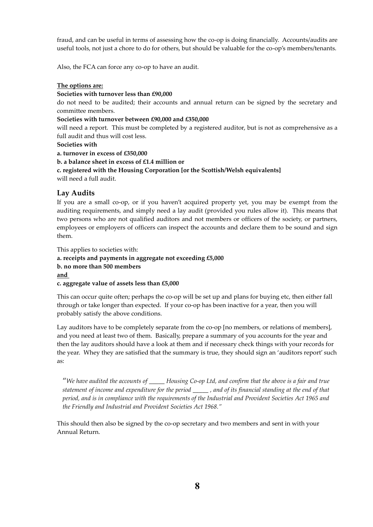fraud, and can be useful in terms of assessing how the co-op is doing financially. Accounts/audits are useful tools, not just a chore to do for others, but should be valuable for the co-op's members/tenants.

Also, the FCA can force any co-op to have an audit.

### The options are:

#### Societies with turnover less than £90,000

do not need to be audited; their accounts and annual return can be signed by the secretary and committee members.

#### Societies with turnover between £90,000 and £350,000

will need a report. This must be completed by a registered auditor, but is not as comprehensive as a full audit and thus will cost less.

Societies with

a. turnover in excess of £350,000

b. a balance sheet in excess of £1.4 million or

c. registered with the Housing Corporation [or the Scottish/Welsh equivalents]

will need a full audit.

### Lay Audits

If you are a small co-op, or if you haven't acquired property yet, you may be exempt from the auditing requirements, and simply need a lay audit (provided you rules allow it). This means that two persons who are not qualified auditors and not members or officers of the society, or partners, employees or employers of officers can inspect the accounts and declare them to be sound and sign them.

This applies to societies with:

### a. receipts and payments in aggregate not exceeding £5,000 b. no more than 500 members and

c. aggregate value of assets less than £5,000

This can occur quite often; perhaps the co-op will be set up and plans for buying etc, then either fall through or take longer than expected. If your co-op has been inactive for a year, then you will probably satisfy the above conditions.

Lay auditors have to be completely separate from the co-op [no members, or relations of members], and you need at least two of them. Basically, prepare a summary of you accounts for the year and then the lay auditors should have a look at them and if necessary check things with your records for the year. Whey they are satisfied that the summary is true, they should sign an 'auditors report' such as:

"We have audited the accounts of \_\_\_\_\_\_ Housing Co-op Ltd, and confirm that the above is a fair and true statement of income and expenditure for the period \_\_\_\_\_ , and of its financial standing at the end of that period, and is in compliance with the requirements of the Industrial and Provident Societies Act 1965 and the Friendly and Industrial and Provident Societies Act 1968."

This should then also be signed by the co-op secretary and two members and sent in with your Annual Return.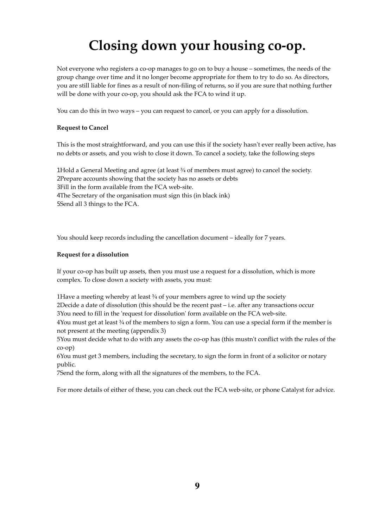# Closing down your housing co-op.

Not everyone who registers a co-op manages to go on to buy a house – sometimes, the needs of the group change over time and it no longer become appropriate for them to try to do so. As directors, you are still liable for fines as a result of non-filing of returns, so if you are sure that nothing further will be done with your co-op, you should ask the FCA to wind it up.

You can do this in two ways – you can request to cancel, or you can apply for a dissolution.

### Request to Cancel

This is the most straightforward, and you can use this if the society hasn't ever really been active, has no debts or assets, and you wish to close it down. To cancel a society, take the following steps

Hold a General Meeting and agree (at least ¾ of members must agree) to cancel the society. Prepare accounts showing that the society has no assets or debts Fill in the form available from the FCA web-site. The Secretary of the organisation must sign this (in black ink) Send all 3 things to the FCA.

You should keep records including the cancellation document – ideally for 7 years.

#### Request for a dissolution

If your co-op has built up assets, then you must use a request for a dissolution, which is more complex. To close down a society with assets, you must:

1Have a meeting whereby at least  $\frac{3}{4}$  of your members agree to wind up the society 2Decide a date of dissolution (this should be the recent past – i.e. after any transactions occur 3You need to fill in the 'request for dissolution' form available on the FCA web-site.

4You must get at least  $\frac{3}{4}$  of the members to sign a form. You can use a special form if the member is not present at the meeting (appendix 3)

5You must decide what to do with any assets the co-op has (this mustn't conflict with the rules of the co-op)

6You must get 3 members, including the secretary, to sign the form in front of a solicitor or notary public.

7Send the form, along with all the signatures of the members, to the FCA.

For more details of either of these, you can check out the FCA web-site, or phone Catalyst for advice.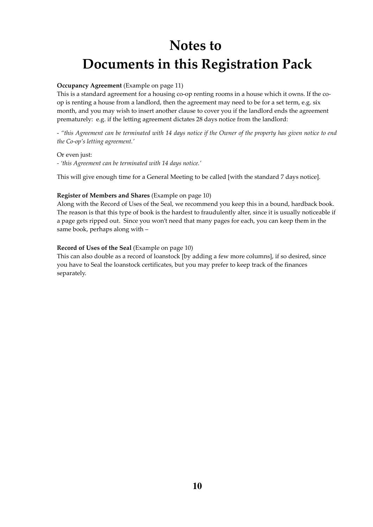# Notes to Documents in this Registration Pack

### Occupancy Agreement (Example on page 11)

This is a standard agreement for a housing co-op renting rooms in a house which it owns. If the coop is renting a house from a landlord, then the agreement may need to be for a set term, e.g. six month, and you may wish to insert another clause to cover you if the landlord ends the agreement prematurely: e.g. if the letting agreement dictates 28 days notice from the landlord:

- "this Agreement can be terminated with 14 days notice if the Owner of the property has given notice to end the Co-op's letting agreement.'

Or even just:

- 'this Agreement can be terminated with 14 days notice.'

This will give enough time for a General Meeting to be called [with the standard 7 days notice].

### Register of Members and Shares (Example on page 10)

Along with the Record of Uses of the Seal, we recommend you keep this in a bound, hardback book. The reason is that this type of book is the hardest to fraudulently alter, since it is usually noticeable if a page gets ripped out. Since you won't need that many pages for each, you can keep them in the same book, perhaps along with –

### Record of Uses of the Seal (Example on page 10)

This can also double as a record of loanstock [by adding a few more columns], if so desired, since you have to Seal the loanstock certificates, but you may prefer to keep track of the finances separately.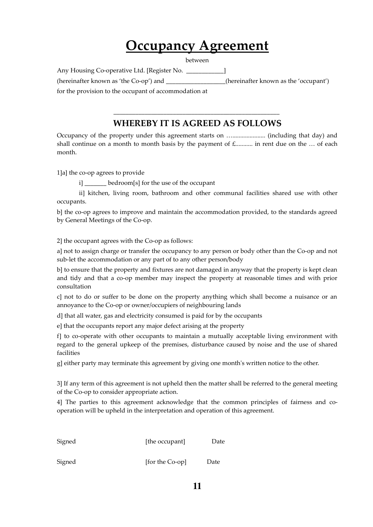# Occupancy Agreement

between

Any Housing Co-operative Ltd. [Register No. \_\_\_\_\_\_\_\_\_\_\_\_] (hereinafter known as 'the Co-op') and \_\_\_\_\_\_\_\_\_\_\_\_\_\_\_\_\_\_\_(hereinafter known as the 'occupant') for the provision to the occupant of accommodation at

### \_\_\_\_\_\_\_\_\_\_\_\_\_\_\_\_\_\_\_\_\_\_\_\_\_\_\_\_\_\_\_\_\_\_\_\_\_\_\_\_\_\_\_\_\_\_\_\_\_\_\_\_\_ WHEREBY IT IS AGREED AS FOLLOWS

Occupancy of the property under this agreement starts on …..................... (including that day) and shall continue on a month to month basis by the payment of  $f$ <sub>1</sub>  $\ldots$  in rent due on the  $\ldots$  of each month.

1]a] the co-op agrees to provide

i] bedroom[s] for the use of the occupant

ii] kitchen, living room, bathroom and other communal facilities shared use with other occupants.

b] the co-op agrees to improve and maintain the accommodation provided, to the standards agreed by General Meetings of the Co-op.

2] the occupant agrees with the Co-op as follows:

a] not to assign charge or transfer the occupancy to any person or body other than the Co-op and not sub-let the accommodation or any part of to any other person/body

b] to ensure that the property and fixtures are not damaged in anyway that the property is kept clean and tidy and that a co-op member may inspect the property at reasonable times and with prior consultation

c] not to do or suffer to be done on the property anything which shall become a nuisance or an annoyance to the Co-op or owner/occupiers of neighbouring lands

d] that all water, gas and electricity consumed is paid for by the occupants

e] that the occupants report any major defect arising at the property

f] to co-operate with other occupants to maintain a mutually acceptable living environment with regard to the general upkeep of the premises, disturbance caused by noise and the use of shared facilities

g] either party may terminate this agreement by giving one month's written notice to the other.

3] If any term of this agreement is not upheld then the matter shall be referred to the general meeting of the Co-op to consider appropriate action.

4] The parties to this agreement acknowledge that the common principles of fairness and cooperation will be upheld in the interpretation and operation of this agreement.

| Signed | [the occupant] |  |
|--------|----------------|--|
|        |                |  |

Signed [for the Co-op] Date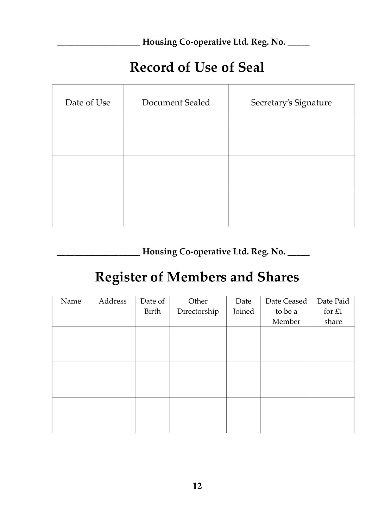Housing Co-operative Ltd. Reg. No. \_\_\_\_\_

### Record of Use of Seal

| Date of Use | Document Sealed | Secretary's Signature |
|-------------|-----------------|-----------------------|
|             |                 |                       |
|             |                 |                       |
|             |                 |                       |

Housing Co-operative Ltd. Reg. No. \_\_\_\_\_

# Register of Members and Shares

| Name | Address | Date of<br>Birth | Other<br>Directorship | Date<br>Joined | Date Ceased<br>to be a<br>Member | Date Paid<br>for $£1$<br>share |
|------|---------|------------------|-----------------------|----------------|----------------------------------|--------------------------------|
|      |         |                  |                       |                |                                  |                                |
|      |         |                  |                       |                |                                  |                                |
|      |         |                  |                       |                |                                  |                                |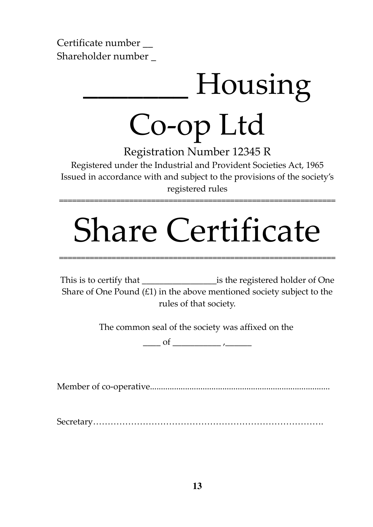Certificate number \_\_ Shareholder number \_

# \_\_\_\_\_\_\_ Housing Co-op Ltd

Registration Number 12345 R

Registered under the Industrial and Provident Societies Act, 1965 Issued in accordance with and subject to the provisions of the society's registered rules

===============================================================

# Share Certificate

===============================================================

This is to certify that is the registered holder of One Share of One Pound  $(f_1)$  in the above mentioned society subject to the rules of that society.

The common seal of the society was affixed on the

 $\underbrace{\hspace{1cm}}$  of  $\underbrace{\hspace{1cm}}$ 

Member of co-operative..................................................................................

Secretary…………………………………………………………………….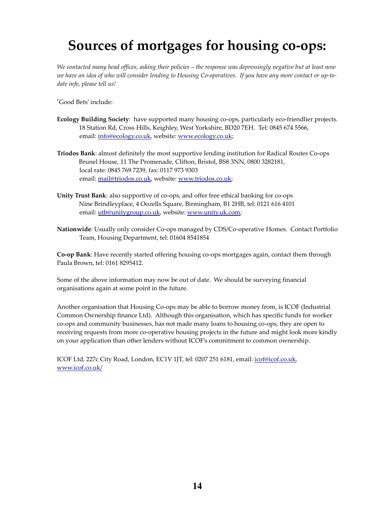# Sources of mortgages for housing co-ops:

We contacted many head offices, asking their policies – the response was depressingly negative but at least now we have an idea of who will consider lending to Housing Co-operatives. If you have any more contact or up-todate info, please tell us!

'Good Bets' include:

- Ecology Building Society: have supported many housing co-ops, particularly eco-friendlier projects. 18 Station Rd, Cross Hills, Keighley, West Yorkshire, BD20 7EH. Tel: 0845 674 5566, email: info@ecology.co.uk, website: www.ecology.co.uk;
- Triodos Bank: almost definitely the most supportive lending institution for Radical Routes Co-ops Brunel House, 11 The Promenade, Clifton, Bristol, BS8 3NN, 0800 3282181, local rate: 0845 769 7239, fax: 0117 973 9303 email: mail@triodos.co.uk, website: www.triodos.co.uk;
- Unity Trust Bank: also supportive of co-ops, and offer free ethical banking for co-ops Nine Brindleyplace, 4 Oozells Square, Birmingham, B1 2HB, tel: 0121 616 4101 email: utb@unitygroup.co.uk, website: www.unity.uk.com;
- Nationwide: Usually only consider Co-ops managed by CDS/Co-operative Homes. Contact Portfolio Team, Housing Department, tel: 01604 8541854

Co-op Bank: Have recently started offering housing co-ops mortgages again, contact them through Paula Brown, tel: 0161 8295412.

Some of the above information may now be out of date. We should be surveying financial organisations again at some point in the future.

Another organisation that Housing Co-ops may be able to borrow money from, is ICOF (Industrial Common Ownership finance Ltd). Although this organisation, which has specific funds for worker co-ops and community businesses, has not made many loans to housing co-ops, they are open to receiving requests from more co-operative housing projects in the future and might look more kindly on your application than other lenders without ICOF's commitment to common ownership.

ICOF Ltd, 227c City Road, London, EC1V 1JT, tel: 0207 251 6181, email: icof@icof.co.uk, www.icof.co.uk/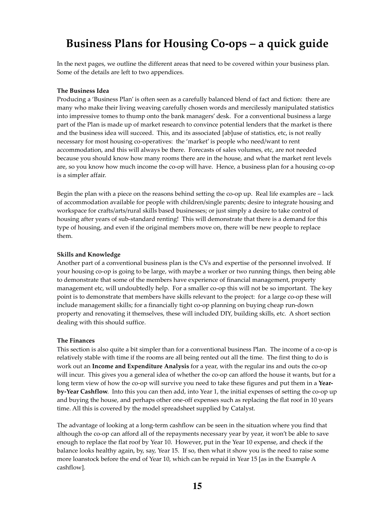### Business Plans for Housing Co-ops – a quick guide

In the next pages, we outline the different areas that need to be covered within your business plan. Some of the details are left to two appendices.

#### The Business Idea

Producing a 'Business Plan' is often seen as a carefully balanced blend of fact and fiction: there are many who make their living weaving carefully chosen words and mercilessly manipulated statistics into impressive tomes to thump onto the bank managers' desk. For a conventional business a large part of the Plan is made up of market research to convince potential lenders that the market is there and the business idea will succeed. This, and its associated [ab]use of statistics, etc, is not really necessary for most housing co-operatives: the 'market' is people who need/want to rent accommodation, and this will always be there. Forecasts of sales volumes, etc, are not needed because you should know how many rooms there are in the house, and what the market rent levels are, so you know how much income the co-op will have. Hence, a business plan for a housing co-op is a simpler affair.

Begin the plan with a piece on the reasons behind setting the co-op up. Real life examples are – lack of accommodation available for people with children/single parents; desire to integrate housing and workspace for crafts/arts/rural skills based businesses; or just simply a desire to take control of housing after years of sub-standard renting! This will demonstrate that there is a demand for this type of housing, and even if the original members move on, there will be new people to replace them.

#### Skills and Knowledge

Another part of a conventional business plan is the CVs and expertise of the personnel involved. If your housing co-op is going to be large, with maybe a worker or two running things, then being able to demonstrate that some of the members have experience of financial management, property management etc, will undoubtedly help. For a smaller co-op this will not be so important. The key point is to demonstrate that members have skills relevant to the project: for a large co-op these will include management skills; for a financially tight co-op planning on buying cheap run-down property and renovating it themselves, these will included DIY, building skills, etc. A short section dealing with this should suffice.

#### The Finances

This section is also quite a bit simpler than for a conventional business Plan. The income of a co-op is relatively stable with time if the rooms are all being rented out all the time. The first thing to do is work out an Income and Expenditure Analysis for a year, with the regular ins and outs the co-op will incur. This gives you a general idea of whether the co-op can afford the house it wants, but for a long term view of how the co-op will survive you need to take these figures and put them in a Yearby-Year Cashflow. Into this you can then add, into Year 1, the initial expenses of setting the co-op up and buying the house, and perhaps other one-off expenses such as replacing the flat roof in 10 years time. All this is covered by the model spreadsheet supplied by Catalyst.

The advantage of looking at a long-term cashflow can be seen in the situation where you find that although the co-op can afford all of the repayments necessary year by year, it won't be able to save enough to replace the flat roof by Year 10. However, put in the Year 10 expense, and check if the balance looks healthy again, by, say, Year 15. If so, then what it show you is the need to raise some more loanstock before the end of Year 10, which can be repaid in Year 15 [as in the Example A cashflow].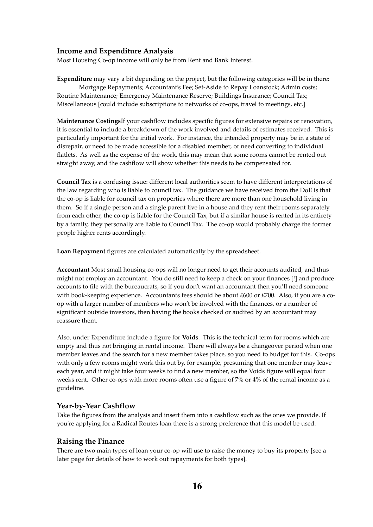### Income and Expenditure Analysis

Most Housing Co-op income will only be from Rent and Bank Interest.

Expenditure may vary a bit depending on the project, but the following categories will be in there: Mortgage Repayments; Accountant's Fee; Set-Aside to Repay Loanstock; Admin costs; Routine Maintenance; Emergency Maintenance Reserve; Buildings Insurance; Council Tax; Miscellaneous [could include subscriptions to networks of co-ops, travel to meetings, etc.]

Maintenance CostingsIf your cashflow includes specific figures for extensive repairs or renovation, it is essential to include a breakdown of the work involved and details of estimates received. This is particularly important for the initial work. For instance, the intended property may be in a state of disrepair, or need to be made accessible for a disabled member, or need converting to individual flatlets. As well as the expense of the work, this may mean that some rooms cannot be rented out straight away, and the cashflow will show whether this needs to be compensated for.

Council Tax is a confusing issue: different local authorities seem to have different interpretations of the law regarding who is liable to council tax. The guidance we have received from the DoE is that the co-op is liable for council tax on properties where there are more than one household living in them. So if a single person and a single parent live in a house and they rent their rooms separately from each other, the co-op is liable for the Council Tax, but if a similar house is rented in its entirety by a family, they personally are liable to Council Tax. The co-op would probably charge the former people higher rents accordingly.

Loan Repayment figures are calculated automatically by the spreadsheet.

Accountant Most small housing co-ops will no longer need to get their accounts audited, and thus might not employ an accountant. You do still need to keep a check on your finances [!] and produce accounts to file with the bureaucrats, so if you don't want an accountant then you'll need someone with book-keeping experience. Accountants fees should be about  $£600$  or  $£700$ . Also, if you are a coop with a larger number of members who won't be involved with the finances, or a number of significant outside investors, then having the books checked or audited by an accountant may reassure them.

Also, under Expenditure include a figure for **Voids**. This is the technical term for rooms which are empty and thus not bringing in rental income. There will always be a changeover period when one member leaves and the search for a new member takes place, so you need to budget for this. Co-ops with only a few rooms might work this out by, for example, presuming that one member may leave each year, and it might take four weeks to find a new member, so the Voids figure will equal four weeks rent. Other co-ops with more rooms often use a figure of 7% or 4% of the rental income as a guideline.

### Year-by-Year Cashflow

Take the figures from the analysis and insert them into a cashflow such as the ones we provide. If you're applying for a Radical Routes loan there is a strong preference that this model be used.

### Raising the Finance

There are two main types of loan your co-op will use to raise the money to buy its property [see a later page for details of how to work out repayments for both types].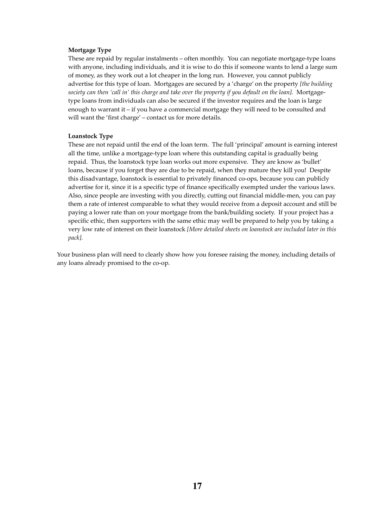#### Mortgage Type

These are repaid by regular instalments – often monthly. You can negotiate mortgage-type loans with anyone, including individuals, and it is wise to do this if someone wants to lend a large sum of money, as they work out a lot cheaper in the long run. However, you cannot publicly advertise for this type of loan. Mortgages are secured by a 'charge' on the property [the building society can then 'call in' this charge and take over the property if you default on the loan]. Mortgagetype loans from individuals can also be secured if the investor requires and the loan is large enough to warrant it – if you have a commercial mortgage they will need to be consulted and will want the 'first charge' – contact us for more details.

#### Loanstock Type

These are not repaid until the end of the loan term. The full 'principal' amount is earning interest all the time, unlike a mortgage-type loan where this outstanding capital is gradually being repaid. Thus, the loanstock type loan works out more expensive. They are know as 'bullet' loans, because if you forget they are due to be repaid, when they mature they kill you! Despite this disadvantage, loanstock is essential to privately financed co-ops, because you can publicly advertise for it, since it is a specific type of finance specifically exempted under the various laws. Also, since people are investing with you directly, cutting out financial middle-men, you can pay them a rate of interest comparable to what they would receive from a deposit account and still be paying a lower rate than on your mortgage from the bank/building society. If your project has a specific ethic, then supporters with the same ethic may well be prepared to help you by taking a very low rate of interest on their loanstock [More detailed sheets on loanstock are included later in this pack].

Your business plan will need to clearly show how you foresee raising the money, including details of any loans already promised to the co-op.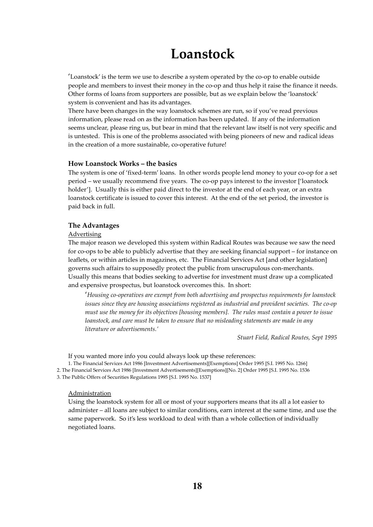### Loanstock

'Loanstock' is the term we use to describe a system operated by the co-op to enable outside people and members to invest their money in the co-op and thus help it raise the finance it needs. Other forms of loans from supporters are possible, but as we explain below the 'loanstock' system is convenient and has its advantages.

There have been changes in the way loanstock schemes are run, so if you've read previous information, please read on as the information has been updated. If any of the information seems unclear, please ring us, but bear in mind that the relevant law itself is not very specific and is untested. This is one of the problems associated with being pioneers of new and radical ideas in the creation of a more sustainable, co-operative future!

### How Loanstock Works – the basics

The system is one of 'fixed-term' loans. In other words people lend money to your co-op for a set period – we usually recommend five years. The co-op pays interest to the investor ['loanstock holder']. Usually this is either paid direct to the investor at the end of each year, or an extra loanstock certificate is issued to cover this interest. At the end of the set period, the investor is paid back in full.

#### The Advantages

#### Advertising

The major reason we developed this system within Radical Routes was because we saw the need for co-ops to be able to publicly advertise that they are seeking financial support – for instance on leaflets, or within articles in magazines, etc. The Financial Services Act [and other legislation] governs such affairs to supposedly protect the public from unscrupulous con-merchants. Usually this means that bodies seeking to advertise for investment must draw up a complicated and expensive prospectus, but loanstock overcomes this. In short:

'Housing co-operatives are exempt from both advertising and prospectus requirements for loanstock issues since they are housing associations registered as industrial and provident societies. The co-op must use the money for its objectives [housing members]. The rules must contain a power to issue loanstock, and care must be taken to ensure that no misleading statements are made in any literature or advertisements.'

Stuart Field, Radical Routes, Sept 1995

If you wanted more info you could always look up these references:

1. The Financial Services Act 1986 [Investment Advertisements][Exemptions] Order 1995 [S.I. 1995 No. 1266] 2. The Financial Services Act 1986 [Investment Advertisements][Exemptions][No. 2] Order 1995 [S.I. 1995 No. 1536

3. The Public Offers of Securities Regulations 1995 [S.I. 1995 No. 1537]

### Administration

Using the loanstock system for all or most of your supporters means that its all a lot easier to administer – all loans are subject to similar conditions, earn interest at the same time, and use the same paperwork. So it's less workload to deal with than a whole collection of individually negotiated loans.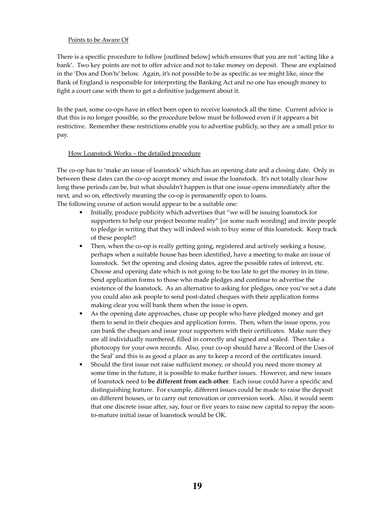### Points to be Aware Of

There is a specific procedure to follow [outlined below] which ensures that you are not 'acting like a bank'. Two key points are not to offer advice and not to take money on deposit. These are explained in the 'Dos and Don'ts' below. Again, it's not possible to be as specific as we might like, since the Bank of England is responsible for interpreting the Banking Act and no one has enough money to fight a court case with them to get a definitive judgement about it.

In the past, some co-ops have in effect been open to receive loanstock all the time. Current advice is that this is no longer possible, so the procedure below must be followed even if it appears a bit restrictive. Remember these restrictions enable you to advertise publicly, so they are a small price to pay.

### How Loanstock Works – the detailed procedure

The co-op has to 'make an issue of loanstock' which has an opening date and a closing date. Only in between these dates can the co-op accept money and issue the loanstock. It's not totally clear how long these periods can be, but what shouldn't happen is that one issue opens immediately after the next, and so on, effectively meaning the co-op is permanently open to loans. The following course of action would appear to be a suitable one:

- Initially, produce publicity which advertises that "we will be issuing loanstock for supporters to help our project become reality" [or some such wording] and invite people to pledge in writing that they will indeed wish to buy some of this loanstock. Keep track of these people!!
- Then, when the co-op is really getting going, registered and actively seeking a house, perhaps when a suitable house has been identified, have a meeting to make an issue of loanstock. Set the opening and closing dates, agree the possible rates of interest, etc. Choose and opening date which is not going to be too late to get the money in in time. Send application forms to those who made pledges and continue to advertise the existence of the loanstock. As an alternative to asking for pledges, once you've set a date you could also ask people to send post-dated cheques with their application forms making clear you will bank them when the issue is open.
- As the opening date approaches, chase up people who have pledged money and get them to send in their cheques and application forms. Then, when the issue opens, you can bank the cheques and issue your supporters with their certificates. Make sure they are all individually numbered, filled in correctly and signed and sealed. Then take a photocopy for your own records. Also, your co-op should have a 'Record of the Uses of the Seal' and this is as good a place as any to keep a record of the certificates issued.
- Should the first issue not raise sufficient money, or should you need more money at some time in the future, it is possible to make further issues. However, and new issues of loanstock need to be different from each other. Each issue could have a specific and distinguishing feature. For example, different issues could be made to raise the deposit on different houses, or to carry out renovation or conversion work. Also, it would seem that one discrete issue after, say, four or five years to raise new capital to repay the soonto-mature initial issue of loanstock would be OK.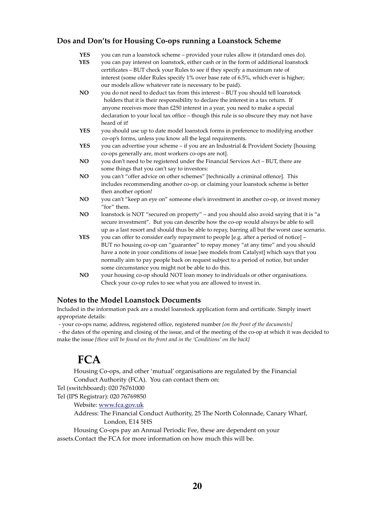### Dos and Don'ts for Housing Co-ops running a Loanstock Scheme

- **YES** you can run a loanstock scheme provided your rules allow it (standard ones do).<br>**YES** you can pay interest on loanstock, either cash or in the form of additional loanstock
- you can pay interest on loanstock, either cash or in the form of additional loanstock certificates – BUT check your Rules to see if they specify a maximum rate of interest (some older Rules specify 1% over base rate of 6.5%, which ever is higher; our models allow whatever rate is necessary to be paid).
- NO you do not need to deduct tax from this interest BUT you should tell loanstock holders that it is their responsibility to declare the interest in a tax return. If anyone receives more than £250 interest in a year, you need to make a special declaration to your local tax office – though this rule is so obscure they may not have heard of it!
- YES you should use up to date model loanstock forms in preference to modifying another co-op's forms, unless you know all the legal requirements.
- **YES** you can advertise your scheme if you are an Industrial & Provident Society [housing co-ops generally are, most workers co-ops are not].
- NO you don't need to be registered under the Financial Services Act BUT, there are some things that you can't say to investors:
- NO you can't "offer advice on other schemes" [technically a criminal offence]. This includes recommending another co-op, or claiming your loanstock scheme is better then another option!
- NO you can't "keep an eye on" someone else's investment in another co-op, or invest money "for" them.
- NO loanstock is NOT "secured on property" and you should also avoid saying that it is "a secure investment". But you can describe how the co-op would always be able to sell up as a last resort and should thus be able to repay, barring all but the worst case scenario.
- YES you can offer to consider early repayment to people [e.g. after a period of notice] BUT no housing co-op can "guarantee" to repay money "at any time" and you should have a note in your conditions of issue [see models from Catalyst] which says that you normally aim to pay people back on request subject to a period of notice, but under some circumstance you might not be able to do this.
- NO your housing co-op should NOT loan money to individuals or other organisations. Check your co-op rules to see what you are allowed to invest in.

### Notes to the Model Loanstock Documents

Included in the information pack are a model loanstock application form and certificate. Simply insert appropriate details:

- your co-ops name, address, registered office, registered number [on the front of the documents]

- the dates of the opening and closing of the issue, and of the meeting of the co-op at which it was decided to make the issue [these will be found on the front and in the 'Conditions' on the back]

### $FCA$

Housing Co-ops, and other 'mutual' organisations are regulated by the Financial Conduct Authority (FCA). You can contact them on:

Tel (switchboard): 020 76761000

Tel (IPS Registrar): 020 76769850

Website: www.fca.gov.uk

Address: The Financial Conduct Authority, 25 The North Colonnade, Canary Wharf, London, E14 5HS

 Housing Co-ops pay an Annual Periodic Fee, these are dependent on your assets.Contact the FCA for more information on how much this will be.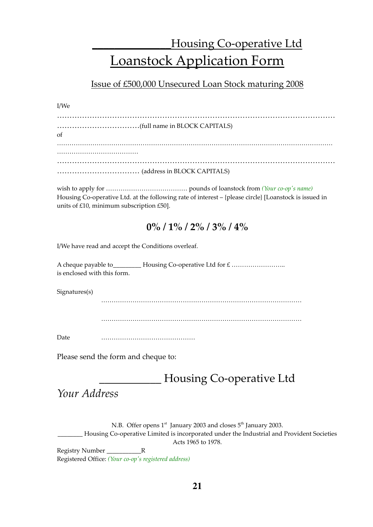### Housing Co-operative Ltd Loanstock Application Form

### Issue of £500,000 Unsecured Loan Stock maturing 2008

### I/We

| $\alpha$ f |
|------------|
|            |
|            |

wish to apply for ………………………………… pounds of loanstock from (Your co-op's name) Housing Co-operative Ltd. at the following rate of interest – {please circle} [Loanstock is issued in units of £10, minimum subscription £50].

### $0\%$  /  $1\%$  /  $2\%$  /  $3\%$  /  $4\%$

I/We have read and accept the Conditions overleaf.

A cheque payable to\_\_\_\_\_\_\_\_\_ Housing Co-operative Ltd for £ …………………….. is enclosed with this form.

Signatures(s)

……………………………………………………………………………………

……………………………………………………………………………………

Date ………………………………………

Please send the form and cheque to:

### Housing Co-operative Ltd

Your Address

N.B. Offer opens 1<sup>st</sup> January 2003 and closes 5<sup>th</sup> January 2003. Housing Co-operative Limited is incorporated under the Industrial and Provident Societies Acts 1965 to 1978.

Registry Number **R** Registered Office: (Your co-op's registered address)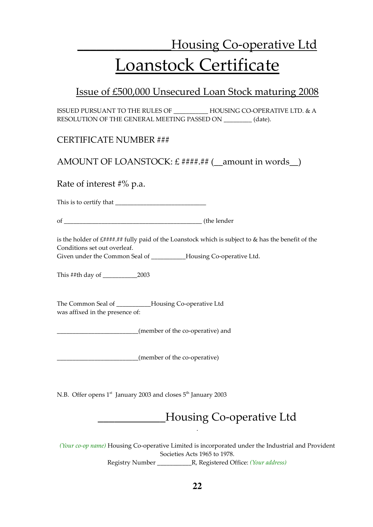# Housing Co-operative Ltd Loanstock Certificate

### Issue of £500,000 Unsecured Loan Stock maturing 2008

ISSUED PURSUANT TO THE RULES OF \_\_\_\_\_\_\_\_\_\_\_ HOUSING CO-OPERATIVE LTD. & A RESOLUTION OF THE GENERAL MEETING PASSED ON \_\_\_\_\_\_\_\_\_ (date).

CERTIFICATE NUMBER ###

AMOUNT OF LOANSTOCK:  $£$  ####.## (\_\_amount in words\_\_)

Rate of interest #% p.a.

This is to certify that \_\_\_\_\_\_\_\_\_\_\_\_\_\_\_\_\_\_\_\_\_\_\_\_\_\_\_\_\_

of the lender

is the holder of £####.## fully paid of the Loanstock which is subject to & has the benefit of the Conditions set out overleaf.

Given under the Common Seal of \_\_\_\_\_\_\_\_\_\_\_Housing Co-operative Ltd.

This ##th day of 2003

The Common Seal of **Housing Co-operative Ltd** was affixed in the presence of:

\_\_\_\_\_\_\_\_\_\_\_\_\_\_\_\_\_\_\_\_\_\_\_\_\_\_(member of the co-operative) and

\_\_\_\_\_\_\_\_\_\_\_\_\_\_\_\_\_\_\_\_\_\_\_\_\_\_(member of the co-operative)

N.B. Offer opens  $1<sup>st</sup>$  January 2003 and closes  $5<sup>th</sup>$  January 2003

\_\_\_\_\_\_\_\_\_\_\_\_Housing Co-operative Ltd

(Your co-op name) Housing Co-operative Limited is incorporated under the Industrial and Provident Societies Acts 1965 to 1978. Registry Number \_\_\_\_\_\_\_\_\_\_\_R, Registered Office: (Your address)

.